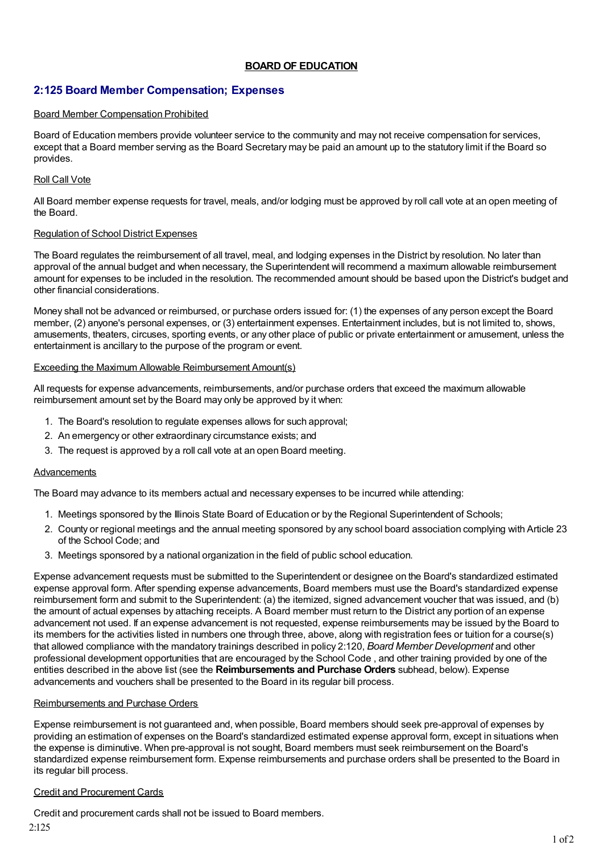# **BOARD OF EDUCATION**

# **2:125 Board Member Compensation; Expenses**

### Board Member Compensation Prohibited

Board of Education members provide volunteer service to the community and may not receive compensation for services, except that a Board member serving as the Board Secretary may be paid an amount up to the statutory limit if the Board so provides.

### Roll Call Vote

All Board member expense requests for travel, meals, and/or lodging must be approved by roll call vote at an open meeting of the Board.

### Regulation of School District Expenses

The Board regulates the reimbursement of all travel, meal, and lodging expenses in the District by resolution. No later than approval of the annual budget and when necessary, the Superintendent will recommend a maximum allowable reimbursement amount for expenses to be included in the resolution. The recommended amount should be based upon the District's budget and other financial considerations.

Money shall not be advanced or reimbursed, or purchase orders issued for: (1) the expenses of any person except the Board member, (2) anyone's personal expenses, or (3) entertainment expenses. Entertainment includes, but is not limited to, shows, amusements, theaters, circuses, sporting events, or any other place of public or private entertainment or amusement, unless the entertainment is ancillary to the purpose of the program or event.

### Exceeding the Maximum Allowable Reimbursement Amount(s)

All requests for expense advancements, reimbursements, and/or purchase orders that exceed the maximum allowable reimbursement amount set by the Board may only be approved by it when:

- 1. The Board's resolution to regulate expenses allows for such approval;
- 2. An emergency or other extraordinary circumstance exists; and
- 3. The request is approved by a roll call vote at an open Board meeting.

## Advancements

The Board may advance to its members actual and necessary expenses to be incurred while attending:

- 1. Meetings sponsored by the Illinois State Board of Education or by the Regional Superintendent of Schools;
- 2. County or regional meetings and the annual meeting sponsored by any school board association complying with Article 23 of the School Code; and
- 3. Meetings sponsored by a national organization in the field of public school education.

Expense advancement requests must be submitted to the Superintendent or designee on the Board's standardized estimated expense approval form. After spending expense advancements, Board members must use the Board's standardized expense reimbursement form and submit to the Superintendent: (a) the itemized, signed advancement voucher that was issued, and (b) the amount of actual expenses by attaching receipts. A Board member must return to the District any portion of an expense advancement not used. If an expense advancement is not requested, expense reimbursements may be issued by the Board to its members for the activities listed in numbers one through three, above, along with registration fees or tuition for a course(s) that allowed compliance with the mandatory trainings described in policy 2:120, *Board Member Development* and other professional development opportunities that are encouraged by the School Code , and other training provided by one of the entities described in the above list (see the **Reimbursements and Purchase Orders** subhead, below). Expense advancements and vouchers shall be presented to the Board in its regular bill process.

### Reimbursements and Purchase Orders

Expense reimbursement is not guaranteed and, when possible, Board members should seek pre-approval of expenses by providing an estimation of expenses on the Board's standardized estimated expense approval form, except in situations when the expense is diminutive. When pre-approval is not sought, Board members must seek reimbursement on the Board's standardized expense reimbursement form. Expense reimbursements and purchase orders shall be presented to the Board in its regular bill process.

## Credit and Procurement Cards

Credit and procurement cards shall not be issued to Board members. 2:125